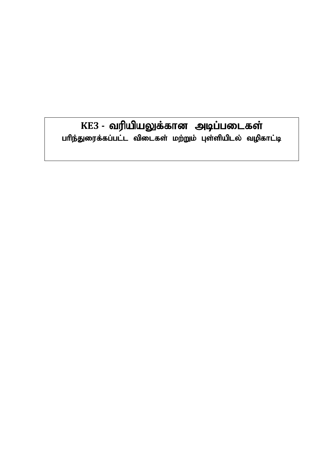# KE3 - வரியியலுக்கான அடிப்படைகள் பரிந்துரைக்கப்பட்ட விடைகள் மற்றும் புள்ளியிடல் வழிகாட்டி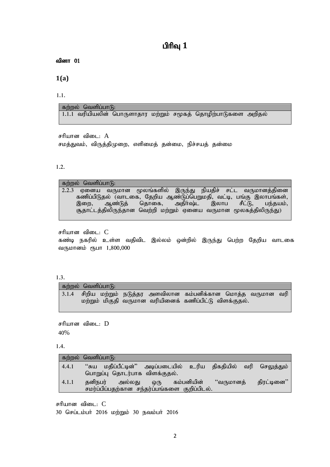# **ป<sup>ุ</mark>ทิญ 1</mark>**</sup>

வினா $01$ 

**1(a)**

1.1.

கற்றல் வெளிப்பா $f$ ):  $1.1.1$  வரியியலின் பொருளாதார மற்றும் சமூகத் தொழிற்பாடுகளை அறிதல்

சரியான விடை $: A$ 

சமத்துவம், விருத்திமுறை, எளிமைத் தன்மை, நிச்சயத் தன்மை

#### 1.2.

்கற்றல் வெளிப்பாடு:<br>2.2.3 ஏனைய வருமான மூலங்களில் இருந்து நியதிச் சட்ட வருமானத்தினை fzpg;gpLjy; (thlif> Njwpa Mz;Lg;ngWkjp> tl;b> gq;F ,yhgq;fs;> கொகை, சூதாட்டத்திலிருந்தான வெற்றி மற்றும் ஏனைய வருமான மூலகத்திலிருந்து)

சரியான விடை $: C$ 

கண்டி நகரில் உள்ள வதிவிட இல்லம் ஒன்றில் இருந்து பெற்ற தேறிய வாடகை வருமானம் ரூபா 1,800,000

#### 1.3.

| கற்றல் வெளிப்பாடு:                                                |                                                         |  |  |
|-------------------------------------------------------------------|---------------------------------------------------------|--|--|
| 3.1.4  சிறிய மற்றும் நடுத்தர அளவிலான கம்பனிக்கான மொத்த வருமான வரி | மற்றும் மிகுதி வருமான வரியினைக் கணிப்பிட்டு விளக்குதல். |  |  |

சரியான விடை $: D$ 40%

#### 1.4.

|       | கற்றல் வெளிப்பாடு: |                                                                                          |     |            |           |             |
|-------|--------------------|------------------------------------------------------------------------------------------|-----|------------|-----------|-------------|
| 4.4.1 |                    | "சுய மதிப்பீட்டின்" அடிப்படையில் உரிய திகதியில் வரி செலுத்தும்                           |     |            |           |             |
| 4.1.1 | தனிநபர்            | பொறுப்பு தொடர்பாக விளக்குதல்.<br>அல்லது<br>சமர்ப்பிப்பதற்கான சந்தர்ப்பங்களை குறிப்பிடல். | ஒரு | கம்பனியின் | "வருமானத் | திரட்டினை'' |

சரியான விடை $: C$ 30 செப்டம்பர் 2016 மற்றும் 30 நவம்பர் 2016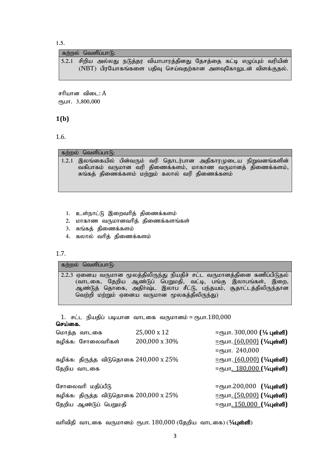1.5.

#### கற்றல் வெளிப்பாடு:

|  |  | 5.2.1 சிறிய அல்லது நடுத்தர வியாபாரத்தினது தேசத்தை கட்டி எழுப்பும் வரியின் |  |  |  |
|--|--|---------------------------------------------------------------------------|--|--|--|
|  |  | (NBT) பிரயோகங்களை பதிவு செய்வதற்கான அளவுகோலுடன் விளக்குதல்.               |  |  |  |

சரியான விடை:  $A$  $(ThLIT. 3,800,000)$ 

### **1(b)**

1.6.

### $\overline{\text{adj}}$ றல் வெளிப்பா $\overline{\text{G}}$ :

 $1.2.1$  இலங்கையில் பின்வரும் வரி தொடர்பான அதிகாரமுடைய நிறுவனங்களின் ்வகிபாகம் வருமான வரி திணைக்களம், மாகாண வருமானத் திணைக்களம், சுங்கத் திணைக்களம் மற்றும் கலால் வரி திணைக்களம்

- 1. உள்நாட்டு இறைவரித் திணைக்களம்
- 2. மாகாண வருமானவரித் திணைக்களங்கள்
- 3. சுங்கத் திணைக்களம்
- 4. கலால் வரித் திணைக்களம்

### 1.7.

 $\overline{\text{adj}}$ றல் வெளிப்பா $\overline{\text{G}}$ :

 $2.2.3$  ஏனைய வருமான மூலத்திலிருந்து நியதிச் சட்ட வருமானத்தினை கணிப்பிடுதல் (வாடகை, தேறிய ஆண்டுப் பெறுமதி, வட்டி, பங்கு இலாபங்கள், இறை, ஆண்டுத் தொகை, அதிா்ஷ்ட இலாப சீட்டு, பந்தயம், சூதாட்டத்திலிருந்தான வெற்றி மற்றும் ஏனைய வருமான மூலகத்திலிருந்து)

1. சட்ட நியதிப் படியான வாடகை வருமானம் = ரூபா. $180,000$ செய்கை.

| மொத்த வாடகை                                            | 25,000 x 12   | = $\tau$ நபா. 300,000 (¼ புள்ளி)          |
|--------------------------------------------------------|---------------|-------------------------------------------|
| கழிக்க: சோலைவரிகள்                                     | 200,000 x 30% | <u>=ரூபா. (60,000)</u> (¼புள்ளி)          |
|                                                        |               | $=$ (Ђит. 240,000                         |
| கழிக்க: திருத்த விடுதொகை $240,000 \text{ x } 25\%$     |               | <u>=ரூபா. (60,000)</u> (¼புள்ளி)          |
| தேறிய வாடகை                                            |               | =ரூபா <u>. 180,000</u> (¼புள்ளி)          |
|                                                        |               |                                           |
| சோலைவரி மதிப்பீடு                                      |               | $=$ ரூபா.200,000 (¼புள்ளி)                |
| கழிக்க: திருத்த விடுதொகை $200,\!000\,\mathrm{x}\,25\%$ |               | <u>=ரூபா. (50,000)</u> (¼புள்ளி)          |
| தேறிய ஆண்டுப் பெறுமதி                                  |               | =ரூபா <u>. 150,000</u> [¼ <b>புள்ளி</b> ) |
|                                                        |               |                                           |

வரிவிதி வாடகை வருமானம் ரூபா. 180,000 (தேறிய வாடகை) (1⁄4**புள்ளி**)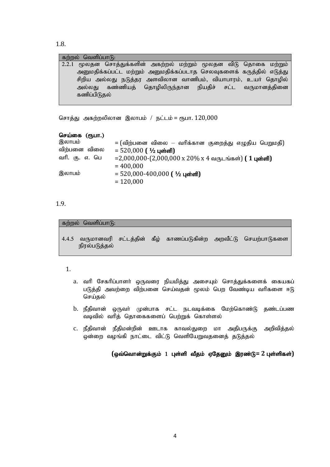1.8.

| கற்றல் வெளிப்பாடு: |                                                                      |  |  |  |
|--------------------|----------------------------------------------------------------------|--|--|--|
|                    | 2.2.1 மூலதன சொத்துக்களின் அகற்றல் மற்றும் மூலதன விடு தொகை மற்றும்    |  |  |  |
|                    | அனுமதிக்கப்பட்ட மற்றும் அனுமதிக்கப்படாத செலவுகளைக் கருத்தில் எடுத்து |  |  |  |
|                    | சிறிய அல்லது நடுத்தர அளவிலான வாணிபம், வியாபாரம், உயா் தொழில்         |  |  |  |
|                    | அல்லது கண்ணியத் தொழிலிருந்தான நியதிச் சட்ட வருமானத்தினை              |  |  |  |
| கணிப்பிடுதல்       |                                                                      |  |  |  |

சொத்து அகற்றலிலான இலாபம் / நட்டம் = ரூபா.  $120,000$ 

| செய்கை (ரூபா.) |                                                        |
|----------------|--------------------------------------------------------|
| இலாபம்         | = (விற்பனை விலை — வரிக்கான குறைத்து எழுதிய பெறுமதி)    |
| விற்பனை விலை   | $= 520,000$ ( ½ புள்ளி)                                |
| வரி. கு. எ. பெ | =2,000,000-(2,000,000 х 20% х 4 வருடங்கள்) ( 1 புள்ளி) |
|                | $= 400,000$                                            |
| இலாபம்         | $= 520,000 - 400,000$ ( ½ புள்ளி)                      |
|                | $= 120,000$                                            |

## 1.9.

# கற்றல் வெளிப்பா $\mathsf{G}:$

4.4.5 வருமானவரி சட்டத்தின் கீழ் காணப்படுகின்ற அறவீட்டு செயற்பாடுகளை நிரல்படுத்தல்

### 1.

- a. வரி சேகரிப்பாளர் ஒருவரை நியமித்து அசையும் சொத்துக்களைக் கையகப் படுத்தி அவற்றை விற்பனை செய்வதன் மூலம் பெற வேண்டிய வரிகளை ஈடு செய்தல்
- b. நீதிவான் ஒருவா் முன்பாக சட்ட நடவடிக்கை மேற்கொண்டு தண்டப்பண வடிவில் வரித் தொகைகளைப் பெற்றுக் கொள்ளல்
- c. நீதிவான் நீதிமன்றின் ஊடாக காவல்துறை மா அதிபருக்கு அறிவித்தல் ஒன்றை வழங்கி நாட்டை விட்டு வெளியேறுவதனைத் தடுத்தல்

(ஒவ்வொன்றுக்கும் 1 புள்ளி வீதம் ஏதேனும் இரண்டு= 2 புள்ளிகள்)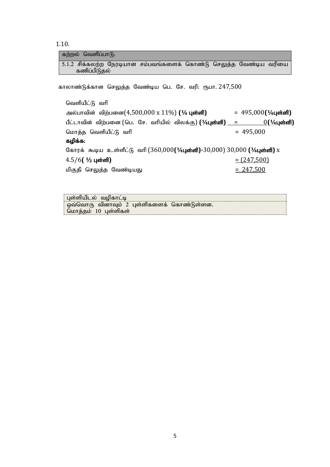1.10.

| கற்றல் வெளிப்பாடு:                                                                     |                                     |
|----------------------------------------------------------------------------------------|-------------------------------------|
| 5.1.2 சிக்கலற்ற நேரடியான சம்பவங்களைக் கொண்டு செலுத்த வேண்டிய வரியை<br>கணிப்பிடுதல்     |                                     |
| காலாண்டுக்கான செலுத்த வேண்டிய பெ. சே. வரி: ரூபா. 247,500                               |                                     |
| வெளியீட்டு வரி                                                                         |                                     |
| அல்பாவின் விற்பனை $(4,500,000 \times 11\%)$ (¼ புள்ளி)                                 | $= 495,000$ ( $\frac{1}{4}$ புள்ளி) |
|                                                                                        | <u> <math>0</math>(¼புள்ளி)</u>     |
| மொத்த வெளியீட்டு வரி                                                                   | $= 495,000$                         |
| கழிக்க:                                                                                |                                     |
| கோரக் கூடிய உள்ளீட்டு வரி (360,000 <b>(½புள்ளி)-</b> 30,000) 30,000 <b>(½புள்ளி)</b> x |                                     |
| $4.5/6$ ( $4/2$ புள்ளி)                                                                | $= (247,500)$                       |

kpFjp nrYj;j Ntz;baJ = 247,500

| பள்ளியிடல் வமிகாட்டி                       |  |
|--------------------------------------------|--|
| ஒவ்வொரு வினாவும் 2 புள்ளிகளைக் கொண்டுள்ளன. |  |
| மொத்தம் 10 பள்ளிகள்                        |  |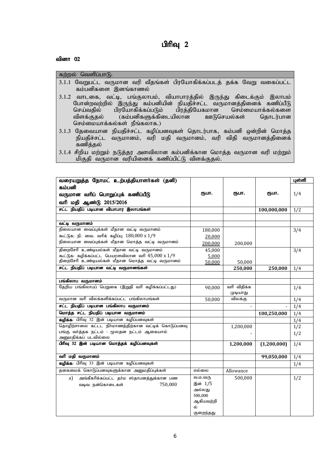# பிரிவு $2$

# வினா $\theta$ 2

| கற்றல் வெளிப்பாடு:                                                      |
|-------------------------------------------------------------------------|
| 3.1.1 வேறுபட்ட வருமான வரி வீதங்கள் பிரயோகிக்கப்படத் தக்க வேறு வகைப்பட்ட |
| கம்பனிகளை இனங்காணல்                                                     |
| 3.1.2 வாடகை, வட்டி, பங்குலாபம், வியாபாரத்தில் இருந்து கிடைக்கும் இலாபம் |
| போன்றவற்றில் இருந்து கம்பனியின் நியதிச்சட்ட வருமானத்தினைக் கணிப்பீடு    |
| செய்வதில் பிரயோகிக்கப்படும் பிரத்தியேகமான செம்மையாக்கல்களை              |
| விளக்குதல் (கம்பனிகளுக்கிடையிலான ஊடுசெயல்கள் தொடர்பான                   |
| செம்மையாக்கல்கள் நீங்கலாக.)                                             |
| 3.1.3 கேவையான நியகிச்சட்ட கமிப்பனவகள் கொடர்பாக. கம்பனி ஒன்றின் மொக்க    |

3.1.3 தேவையான நியதிச்சட்ட கழிப்பனவுகள் தொடர்பாக, கம்பனி ஒன்றின் மொத்த $\mid$ நியதிச்சட்ட வருமானம், வரி மதி வருமானம், வரி விதி வருமானத்தினைக் கணித்தல்

<sup>3.1.4</sup> சிறிய மற்றும் நடுத்தர அளவிலான கம்பனிக்கான மொத்த வருமான வரி மற்றும்  $\mid$ மிகுதி வருமான வரியினைக் கணிப்பிட்டு விளக்குதல்.

| வரையறுத்த நோமட் உற்பத்தியாளர்கள் (தனி)                            |           |             |             | புள்ளி |
|-------------------------------------------------------------------|-----------|-------------|-------------|--------|
| கம்பனி                                                            |           |             |             |        |
| வருமான வரிப் பொறுப்புக் கணிப்பீடு                                 | ரூபா.     | ரூபா.       | ரூபா.       | 1/4    |
| வரி மதி ஆண்டு 2015/2016                                           |           |             |             |        |
| சட்ட நியதிப் படியான வியாபார இலாபங்கள்                             |           |             | 100,000,000 | 1/2    |
|                                                                   |           |             |             |        |
| வட்டி வருமானம்                                                    |           |             |             |        |
| நிலையான வைப்புக்கள் மீதான வட்டி வருமானம்                          | 180,000   |             |             | 3/4    |
| கூட்டுக: நி. வை. வரிக் கழிப்பு 180,000 x 1/9                      | 20,000    |             |             |        |
| நிலையான வைப்புக்கள் மீதான மொத்த வட்டி வருமானம்                    | 200,000   | 200,000     |             |        |
| திறைசேரி உண்டியல்கள் மீதான வட்டி வருமானம்                         | 45.000    |             |             | 3/4    |
| கூட்டுக: கழிக்கப்பட்ட பெயரளவிலான வரி $45,000 \times 1/9$          | 5,000     |             |             |        |
| திறைசேரி உண்டியல்கள் மீதான மொத்த வட்டி வருமானம்                   | 50,000    | 50,000      |             |        |
| சட்ட நியதிப் படியான வட்டி வருமானங்கள்                             |           | 250,000     | 250,000     | 1/4    |
|                                                                   |           |             |             |        |
| பங்கிலாப வருமானம்                                                 |           |             |             |        |
| தேறிய பங்கிலாபப் பெறுகை (இறுதி வரி கழிக்கப்பட்டது)                | 90.000    | வரி விதிக்க |             | 1/4    |
|                                                                   |           | முடியாது    |             |        |
| வருமான வரி விலக்களிக்கப்பட்ட பங்கிலாபங்கள்                        | 50,000    | விலக்கு     |             | 1/4    |
| சட்ட நியதிப் படியான பங்கிலாப வருமானம்                             |           |             |             | 1/4    |
| மொத்த சட்ட நியதிப் படியான வருமானம்                                |           |             | 100,250,000 | 1/4    |
| கழிக்க: பிரிவு 32 இன் படியான கழிப்பனவுகள்                         |           |             |             | 1/4    |
| தொழிற்சாலை கட்டட நிா்மாணத்திற்கான வட்டிக் கொடுப்பனவு              |           | 1,200,000   |             | 1/2    |
| பங்கு வர்த்தக நட்டம் - மூலதன நட்டம் ஆகையால்                       |           |             |             | 1/2    |
| அனுமதிக்கப் படவில்லை<br>பிரிவு 32 இன் படியான மொத்தக் கழிப்பனவுகள் |           |             |             |        |
|                                                                   |           | 1,200,000   | (1,200,000) | 1/4    |
| வரி மதி வருமானம்                                                  |           |             | 99,050,000  | 1/4    |
| கழிக்க: பிரிவு 33 இன் படியான கழிப்பனவுகள்                         |           |             |             | 1/4    |
| தகைமைக் கொடுப்பனவுகளுக்கான அனுமதிப்புக்கள்                        | எல்லை     | Allowance   |             |        |
|                                                                   | வ.ம.வரு   | 500,000     |             |        |
| அங்கீகரிக்கப்பட்ட தா்ம ஸ்தாபனத்துக்கான பண<br>a)                   | இன் 1/5   |             |             | 1/2    |
| 750,000<br>வடிவ நன்கொடைகள்                                        | அல்லது    |             |             |        |
|                                                                   | 500,000   |             |             |        |
|                                                                   | ஆகியவற்றி |             |             |        |
|                                                                   | ல்        |             |             |        |
|                                                                   | குறைந்தது |             |             |        |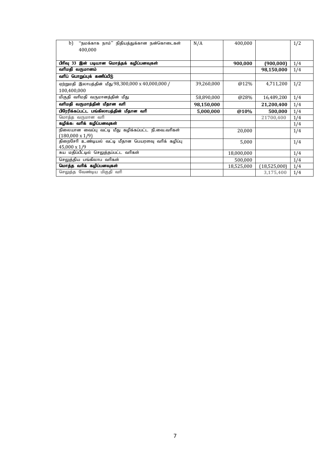| b)<br>"நமக்காக நாம்" நிதியத்துக்கான நன்கொடைகள்                                | N/A        | 400,000    |              | 1/2 |
|-------------------------------------------------------------------------------|------------|------------|--------------|-----|
| 400,000                                                                       |            |            |              |     |
|                                                                               |            |            |              |     |
| பிரிவு 33 இன் படியான மொத்தக் கழிப்பனவுகள்                                     |            | 900,000    | (900, 000)   | 1/4 |
| வரிமதி வருமானம்                                                               |            |            | 98,150,000   | 1/4 |
| வரிப் பொறுப்புக் கணிப்பீடு                                                    |            |            |              |     |
| ஏற்றுமதி இலாபத்தின் மீது 98,300,000 x 40,000,000 /                            | 39,260,000 | @12%       | 4,711,200    | 1/2 |
| 100,400,000                                                                   |            |            |              |     |
| மிகுதி வரிமதி வருமானத்தின் மீது                                               | 58,890,000 | @28%       | 16,489,200   | 1/4 |
| வரிமதி வருமாத்தின் மீதான வரி                                                  | 98,150,000 |            | 21,200,400   | 1/4 |
|                                                                               |            |            |              |     |
| பிரேரிக்கப்பட்ட பங்கிலாபத்தின் மீதான வரி                                      | 5,000,000  | @10%       | 500,000      | 1/4 |
| மொத்த வருமான வரி                                                              |            |            | 21700,400    | 1/4 |
| கழிக்க: வரிக் கழிப்பனவுகள்                                                    |            |            |              | 1/4 |
| நிலையான வைப்பு வட்டி மீது கழிக்கப்பட்ட நி.வை.வரிகள்                           |            | 20,000     |              | 1/4 |
| $(180,000 \times 1/9)$<br>திறைசேரி உண்டியல் வட்டி மீதான பெயரளவு வரிக் கழிப்பு |            | 5,000      |              | 1/4 |
| 45,000 x 1/9                                                                  |            |            |              |     |
| சுய மதிப்பீட்டில் செலுத்தப்பட்ட வரிகள்                                        |            | 18,000,000 |              | 1/4 |
| செலுத்திய பங்கிலாப வரிகள்                                                     |            | 500,000    |              | 1/4 |
| மொத்த வரிக் கழிப்பனவுகள்                                                      |            | 18,525,000 | (18,525,000) | 1/4 |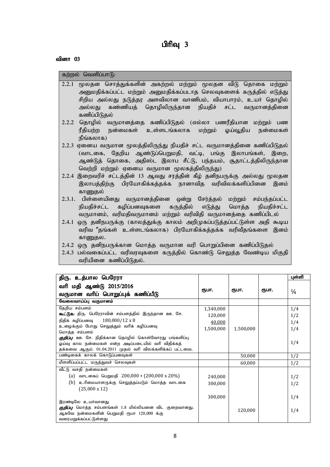# பிரிவு  $3$

#### வினா $\,$  03

கற்றல் வெளிப்பா $f$ 6:

- 2.2.1 மூலதன சொத்துக்களின் அகற்றல் மற்றும் மூலதன விடு தொகை மற்றும் அனுமதிக்கப்பட்ட மற்றும் அனுமதிக்கப்படாத செலவுகளைக் கருத்தில் எடுத்து சிறிய அல்லது நடுத்தர அளவிலான வாணிபம், வியாபாரம், உயர் தொழில் அல்லது கண்ணியத் தொழிலிருந்தான நியதிச் சட்ட வருமானத்தினை கணிப்பிடுதல்
- 2.2.2 தொழில் வருமானத்தை கணிப்பிடுதல் (எல்லா பணரீதியான மற்றும் பண ரீதியற்ற நன்மைகள் உள்ளடங்கலாக மற்றும் ஓய்வூதிய நன்மைகள்  $\overline{\mathbf{b}}$ ங்கலாக)
- 2.2.3 ஏனைய வருமான மூலத்திலிருந்து நியதிச் சட்ட வருமானத்தினை கணிப்பிடுதல்  $($ வாடகை, தேறிய ஆண்டுப்பெறுமதி, வட்டி, பங்கு இலாபங்கள், இறை, ஆண்டுத் தொகை, அதிஸ்ட இலாப சீட்டு, பந்தயம், சூதாட்டத்திலிருந்தான வெற்றி மற்றும் ஏனைய வருமான மூலகத்திலிருந்து)
- 2.2.4 இறைவரிச் சட்டத்தின் 13 ஆவது சரத்தின் கீழ் தனிநபருக்கு அல்லது மூலதன இலாபத்திற்கு பிரயோகிக்கத்தக்க நானாவித வரிவிலக்களிப்பினை இனம் காணுகல்
- $2.3.1$ . பிள்ளையினது வருமானத்தினை ஒன்று சேர்த்தல் மற்றும் சம்பந்தப்பட்ட நியதிச்சட்ட கமிப்பனவுகளை கருத்தில் எடுத்து மொத்த நியதிச்சட்ட வருமானம், வரிமதிவருமானம் மற்றும் வரிவிதி வருமானத்தை கணிப்பிடல்
- 2.4.1 ஒரு தனிநபருக்கு (காலத்துக்கு காலம் அறிமுகப்படுத்தப்பட்டுள்ள அதி கூடிய வரிவ °தங்கள் உள்ளடங்கலாக) பிரயோகிக்கத்தக்க வரிவீதங்களை இனம் காணுதல.
- 2.4.2 ஒரு தனிநபருக்கான மொத்த வருமான வரி பொறுப்பினை கணிப்பிடுதல்
- $2.4.3$  பல்வகைப்பட்ட வரிவரவுகளை கருத்தில் கொண்டு செலுத்த வேண்டிய மிகுதி வரியினை கணிப்பிடுதல்.

| திரு. உத்பால பெரேரா                                                             |           |           |       | புள்ளி        |
|---------------------------------------------------------------------------------|-----------|-----------|-------|---------------|
| வரி மதி ஆண்டு 2015/2016                                                         |           |           |       |               |
| வருமான வரிப் பொறுப்புக் கணிப்பீடு                                               | ரூபா.     | ரூபா.     | ரூபா. | $\frac{1}{4}$ |
| வேலைவாய்ப்பு வருமானம்                                                           |           |           |       |               |
| தேறிய சம்பளம்                                                                   | 1,340,000 |           |       | 1/4           |
| <b>கூட்டுக:</b> திரு. பெரேராவின் சம்பளத்தில் இருந்தான ஊ. சே.                    | 120,000   |           |       | 1/2           |
| நிதிக் கழிப்பனவு $180,000/12 \times 8$                                          | 40,000    |           |       | 1/4           |
| உழைக்கும் போது செலுத்தும் வரிக் கழிப்பனவு                                       | 1,500,000 | 1,500,000 |       | 1/4           |
| மொத்த சம்பளம்<br><i>குறிப்பு</i> : ஊ. சே. நிதிக்கான தொழில் கொள்வோரது பங்களிப்பு |           |           |       |               |
| ஓய்வு கால நன்மைகள் என்ற அடிப்படையில் வரி விதிக்கத்                              |           |           |       | 1/4           |
| தக்கவை ஆகும். 01.04.2011 முதல் வரி விலக்களிக்கப் பட்டவை.                        |           |           |       |               |
| பண்டிகைக் காலக் கொடுப்பனவுகள்                                                   |           | 50,000    |       | 1/2           |
| மீளளிப்பப்பட்ட மருத்துவச் செலவுகள்                                              |           | 60,000    |       | 1/2           |
| வீட்டு வசதி நன்மைகள்                                                            |           |           |       |               |
| (a) வாடகைப் பெறுமதி 200,000 + (200,000 x 20%)                                   | 240,000   |           |       | 1/2           |
| (b)<br>உரிமையாளருக்கு செலுத்தப்படும் மொத்த வாடகை                                | 300,000   |           |       | 1/2           |
| $(25,000 \times 12)$                                                            |           |           |       |               |
|                                                                                 | 300,000   |           |       | 1/4           |
| இரண்டிலே உயர்வானது                                                              |           |           |       |               |
| <i>குறிப்பு</i> : மொத்த சம்பளங்கள் 1.8 மில்லியனை விட குறைவானது.                 |           | 120,000   |       | 1/4           |
| ஆகவே நன்மைகளின் பெறுமதி ரூபா 120,000 க்கு                                       |           |           |       |               |
| வரையறுக்கப்பட்டுள்ளது                                                           |           |           |       |               |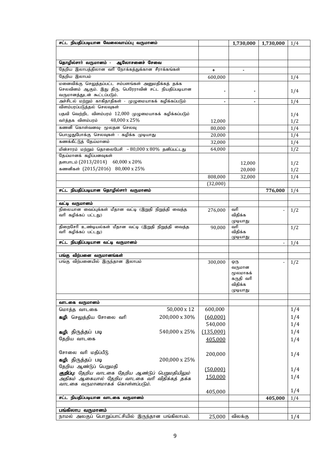| சட்ட நியதிப்படியான வேலைவாய்ப்பு வருமானம்                                                                       |           | 1,730,000           | 1,730,000 | 1/4 |
|----------------------------------------------------------------------------------------------------------------|-----------|---------------------|-----------|-----|
|                                                                                                                |           |                     |           |     |
|                                                                                                                |           |                     |           |     |
| தொழில்சார் வருமானம் - ஆலோசனைச் சேவை                                                                            |           |                     |           |     |
| தேறிய இலாபத்திலான வரி நோக்கத்துக்கான சீராக்கங்கள்                                                              | +         | $\blacksquare$      |           |     |
| தேறிய இலாபம்                                                                                                   | 600,000   |                     |           | 1/4 |
| மனைவிக்கு செலுத்தப்பட்ட சம்பளங்கள் அனுமதிக்கத் தக்க<br>செலவினம் ஆகும். இது திரு. பெரேராவின் சட்ட நியதிப்படியான |           |                     |           |     |
| வருமானத்துடன் கூட்டப்படும்.                                                                                    |           |                     |           | 1/4 |
| அச்சிடல் மற்றும் காகிதாதிகள் - முழுமையாகக் கழிக்கப்படும்                                                       |           | $\blacksquare$      |           | 1/4 |
| விளம்பரப்படுத்தல் செலவுகள்                                                                                     |           |                     |           |     |
| பதவி வெற்றிட விளம்பரம் 12,000 முழுமையாகக் கழிக்கப்படும்                                                        |           |                     |           | 1/4 |
| வர்த்தக விளம்பரம்<br>48,000 x 25%                                                                              | 12,000    |                     |           | 1/2 |
| கணனி கொள்வனவு- மூலதன செலவு                                                                                     | 80,000    |                     |           | 1/4 |
| பொழுதுபோக்கு செலவுகள் - கழிக்க முடியாது                                                                        | 20,000    |                     |           | 1/4 |
| கணக்கீட்டுத் தேய்மானம்                                                                                         | 32,000    |                     |           | 1/4 |
| மின்சாரம் மற்றும் தொலைபேசி – 80,000 x 80% தனிப்பட்டது                                                          | 64,000    |                     |           | 1/2 |
| தேய்மானக் கழிப்பனவுகள்                                                                                         |           |                     |           |     |
| தளபாடம் (2013/2014) 60,000 x 20%                                                                               |           | 12,000              |           | 1/2 |
| கணனிகள் (2015/2016) 80,000 x 25%                                                                               |           | 20,000              |           | 1/2 |
|                                                                                                                | 808,000   | 32,000              |           | 1/4 |
|                                                                                                                | (32,000)  |                     |           |     |
| சட்ட நியதிப்படியான தொழில்சாா் வருமானம்                                                                         |           |                     | 776,000   | 1/4 |
| வட்டி வருமானம்                                                                                                 |           |                     |           |     |
| நிலையான வைப்புக்கள் மீதான வட்டி (இறுதி நிறுத்தி வைத்த                                                          | 276,000   | வரி                 |           | 1/2 |
| வரி கழிக்கப் பட்டது)                                                                                           |           | விதிக்க             |           |     |
|                                                                                                                |           | முடியாது            |           |     |
| திறைசேரி உண்டியல்கள் மீதான வட்டி (இறுதி நிறுத்தி வைத்த                                                         | 90,000    | வரி                 |           | 1/2 |
| வரி கழிக்கப் பட்டது)                                                                                           |           | விதிக்க<br>முடியாது |           |     |
| சட்ட நியதிப்படியான வட்டி வருமானம்                                                                              |           |                     |           | 1/4 |
|                                                                                                                |           |                     |           |     |
| பங்கு விற்பனை வருமானங்கள்                                                                                      |           |                     |           |     |
| பங்கு விற்பனையில் இருந்தான இலாபம்                                                                              | 300,000   | ஒரு<br>வருமான       |           | 1/2 |
|                                                                                                                |           | மூலமாகக்            |           |     |
|                                                                                                                |           | கருதி வரி           |           |     |
|                                                                                                                |           | விதிக்க             |           |     |
|                                                                                                                |           | முடியாது            |           |     |
| வாடகை வருமானம்                                                                                                 |           |                     |           |     |
| 50,000 x 12<br>மொத்த வாடகை                                                                                     | 600,000   |                     |           | 1/4 |
| 200,000 x 30%<br>கழி: செலுத்திய சோலை வரி                                                                       | (60,000)  |                     |           | 1/4 |
|                                                                                                                | 540,000   |                     |           | 1/4 |
| 540,000 x 25%<br>கழி: திருத்தப் படி                                                                            | (135,000) |                     |           | 1/4 |
| தேறிய வாடகை                                                                                                    |           |                     |           | 1/4 |
|                                                                                                                | 405,000   |                     |           |     |
| சோலை வரி மதிப்பீடு                                                                                             |           |                     |           |     |
| கழி: திருத்தப் படி<br>200,000 x 25%                                                                            | 200,000   |                     |           | 1/4 |
| தேறிய ஆண்டுப் பெறுமதி                                                                                          |           |                     |           |     |
| குறிப்பு: தேறிய வாடகை தேறிய ஆண்டுப் பெறுமதியிலும்                                                              | (50,000)  |                     |           | 1/4 |
| அதிகம் ஆகையால் தேறிய வாடகை வரி விதிக்கத் தக்க                                                                  | 150,000   |                     |           | 1/4 |
| வாடகை வருமானமாகக் கொள்ளப்படும்.                                                                                |           |                     |           |     |
|                                                                                                                | 405,000   |                     |           | 1/4 |
| சட்ட நியதிப்படியான வாடகை வருமானம்                                                                              |           |                     | 405,000   | 1/4 |
| பங்கிலாப வருமானம்                                                                                              |           |                     |           |     |
| நாமல் அலகுப் பொறுப்பாட்சியில் இருந்தான பங்கிலாபம்.                                                             | 25,000    | விலக்கு             |           | 1/4 |